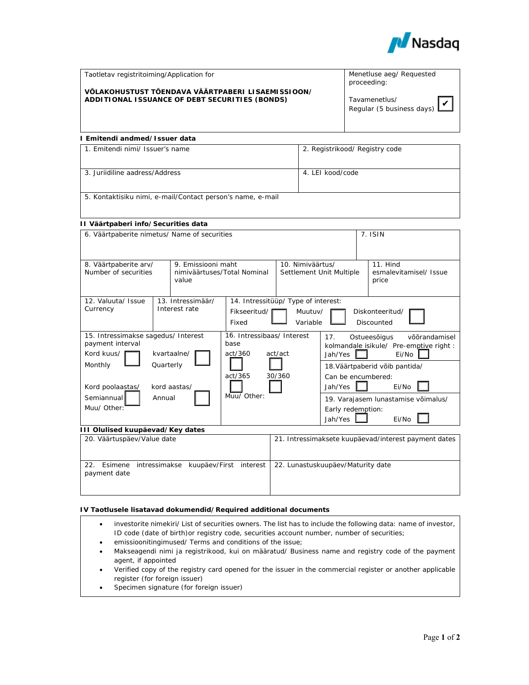

| Taotletav registritoiming/Application for                                                           | Menetluse aeg/ Requested<br>proceeding:           |
|-----------------------------------------------------------------------------------------------------|---------------------------------------------------|
| VÕLAKOHUSTUST TÕENDAVA VÄÄRTPABERI LISAEMISSIOON/<br>ADDITIONAL ISSUANCE OF DEBT SECURITIES (BONDS) | Tavamenetlus/<br>Regular (5 business days) $\Box$ |
|                                                                                                     |                                                   |

# **I Emitendi andmed/Issuer data**

| 1. Emitendi nimi/ Issuer's name                            | 2. Registrikood/ Registry code |  |  |  |  |
|------------------------------------------------------------|--------------------------------|--|--|--|--|
| 3. Juriidiline aadress/Address                             | 4. LEI kood/code               |  |  |  |  |
| 5. Kontaktisiku nimi, e-mail/Contact person's name, e-mail |                                |  |  |  |  |

### **II Väärtpaberi info/Securities data**

| 6. Väärtpaberite nimetus/ Name of securities                                 |                                 |                                                                   |                                    |                                      | $7.$ ISIN                                        |                                 |  |
|------------------------------------------------------------------------------|---------------------------------|-------------------------------------------------------------------|------------------------------------|--------------------------------------|--------------------------------------------------|---------------------------------|--|
|                                                                              |                                 |                                                                   |                                    |                                      |                                                  |                                 |  |
| 9. Emissiooni maht<br>8. Väärtpaberite arv/                                  |                                 |                                                                   | 10. Nimiväärtus/                   |                                      |                                                  | 11. Hind                        |  |
| Number of securities                                                         |                                 | nimiväärtuses/Total Nominal<br>value                              |                                    | Settlement Unit Multiple             |                                                  | esmalevitamisel/ Issue<br>price |  |
| 12. Valuuta/ Issue                                                           |                                 | 13. Intressimäär/                                                 |                                    | 14. Intressitüüp/ Type of interest:  |                                                  |                                 |  |
| Currency                                                                     |                                 | Interest rate                                                     | Fikseeritud/                       | Muutuv/                              |                                                  | Diskonteeritud/                 |  |
|                                                                              | Variable<br>Discounted<br>Fixed |                                                                   |                                    |                                      |                                                  |                                 |  |
| 15. Intressimakse sagedus/ Interest<br>payment interval                      |                                 |                                                                   | 16. Intressibaas/ Interest<br>base | 17.<br>Ostueesõigus<br>võõrandamisel |                                                  |                                 |  |
| Kord kuus/<br>kvartaalne/                                                    |                                 | act/360<br>act/act<br>act/365<br>30/360<br>Jah/Yes<br>Muu/ Other: |                                    | Jah/Yes I                            | kolmandale isikule/ Pre-emptive right :<br>Ei/No |                                 |  |
| Monthly<br>Quarterly                                                         |                                 |                                                                   |                                    | 18. Väärtpaberid võib pantida/       |                                                  |                                 |  |
|                                                                              |                                 |                                                                   |                                    | Can be encumbered:                   |                                                  |                                 |  |
| Kord poolaastas/<br>kord aastas/<br>Semiannual<br>Annual                     |                                 |                                                                   |                                    | Ei/No                                |                                                  |                                 |  |
|                                                                              |                                 |                                                                   |                                    |                                      |                                                  |                                 |  |
|                                                                              |                                 |                                                                   |                                    | 19. Varajasem lunastamise võimalus/  |                                                  |                                 |  |
| Muu/ Other:                                                                  |                                 |                                                                   |                                    | Early redemption:                    |                                                  |                                 |  |
|                                                                              |                                 |                                                                   |                                    |                                      | Jah/Yes                                          | Ei/No                           |  |
| III Olulised kuupäevad/Key dates                                             |                                 |                                                                   |                                    |                                      |                                                  |                                 |  |
| 20. Väärtuspäev/Value date                                                   |                                 | 21. Intressimaksete kuupäevad/interest payment dates              |                                    |                                      |                                                  |                                 |  |
|                                                                              |                                 |                                                                   |                                    |                                      |                                                  |                                 |  |
| 22.<br>Esimene<br>intressimakse<br>kuupäev/First<br>interest<br>payment date |                                 | 22. Lunastuskuupäev/Maturity date                                 |                                    |                                      |                                                  |                                 |  |

## **IV Taotlusele lisatavad dokumendid/Required additional documents**

- investorite nimekiri/ List of securities owners. The list has to include the following data: name of investor, ID code (date of birth)or registry code, securities account number, number of securities;
- emissioonitingimused/ Terms and conditions of the issue;
- Makseagendi nimi ja registrikood, kui on määratud/ Business name and registry code of the payment agent, if appointed
- Verified copy of the registry card opened for the issuer in the commercial register or another applicable register (for foreign issuer)
- Specimen signature (for foreign issuer)